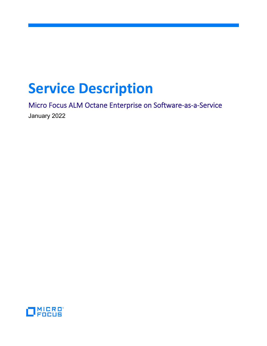# **Service Description**

Micro Focus ALM Octane Enterprise on Software-as-a-Service January 2022

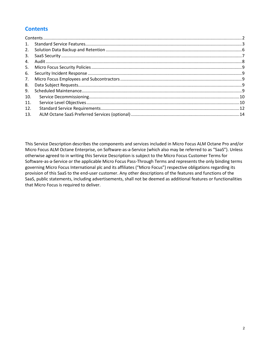# <span id="page-1-0"></span>**Contents**

This Service Description describes the components and services included in Micro Focus ALM Octane Pro and/or Micro Focus ALM Octane Enterprise, on Software-as-a-Service (which also may be referred to as "SaaS"). Unless otherwise agreed to in writing this Service Description is subject to the Micro Focus Customer Terms for Software-as-a-Service or the applicable Micro Focus Pass-Through Terms and represents the only binding terms governing Micro Focus International plc and its affiliates ("Micro Focus") respective obligations regarding its provision of this SaaS to the end-user customer. Any other descriptions of the features and functions of the SaaS, public statements, including advertisements, shall not be deemed as additional features or functionalities that Micro Focus is required to deliver.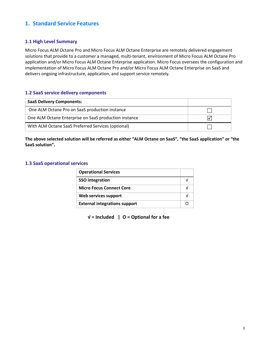# <span id="page-2-0"></span>**1. Standard Service Features**

## **1.1 High Level Summary**

Micro Focus ALM Octane Pro and Micro Focus ALM Octane Enterprise are remotely delivered engagement solutions that provide to a customer a managed, multi-tenant, environment of Micro Focus ALM Octane Pro application and/or Micro Focus ALM Octane Enterprise application. Micro Focus oversees the configuration and implementation of Micro Focus ALM Octane Pro and/or Micro Focus ALM Octane Enterprise on SaaS and delivers ongoing infrastructure, application, and support service remotely.

## **1.2 SaaS service delivery components**

| <b>SaaS Delivery Components:</b>                      |  |
|-------------------------------------------------------|--|
| One ALM Octane Pro on SaaS production instance        |  |
| One ALM Octane Enterprise on SaaS production instance |  |
| With ALM Octane SaaS Preferred Services (optional)    |  |

**The above selected solution will be referred as either "ALM Octane on SaaS", "the SaaS application" or "the SaaS solution".**

## **1.3 SaaS operational services**

| <b>Operational Services</b>          |  |
|--------------------------------------|--|
| <b>SSO</b> integration               |  |
| <b>Micro Focus Connect Core</b>      |  |
| Web services support                 |  |
| <b>External integrations support</b> |  |

**√ = Included | O = Optional for a fee**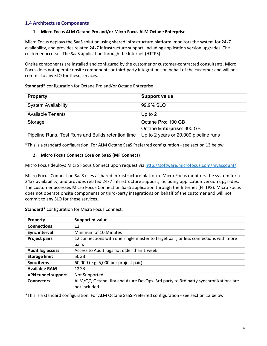## **1.4 Architecture Components**

#### **1. Micro Focus ALM Octane Pro and/or Micro Focus ALM Octane Enterprise**

Micro Focus deploys the SaaS solution using shared infrastructure platform, monitors the system for 24x7 availability, and provides related 24x7 infrastructure support, including application version upgrades. The customer accesses The SaaS application through the Internet (HTTPS).

Onsite components are installed and configured by the customer or customer-contracted consultants. Micro Focus does not operate onsite components or third-party integrations on behalf of the customer and will not commit to any SLO for these services.

**Standard\*** configuration for Octane Pro and/or Octane Enterprise

| <b>Property</b>                                    | <b>Support value</b>                  |
|----------------------------------------------------|---------------------------------------|
| <b>System Availability</b>                         | 99.9% SLO                             |
| <b>Available Tenants</b>                           | Up to $2$                             |
| Storage                                            | Octane Pro: 100 GB                    |
|                                                    | Octane Enterprise: 300 GB             |
| Pipeline Runs, Test Runs and Builds retention time | Up to 2 years or 20,000 pipeline runs |

\*This is a standard configuration. For ALM Octane SaaS Preferred configuration - see section 13 below

## **2. Micro Focus Connect Core on SaaS (MF Connect)**

Micro Focus deploys Micro Focus Connect upon request via <http://software.microfocus.com/myaccount/>

Micro Focus Connect on SaaS uses a shared infrastructure platform. Micro Focus monitors the system for a 24x7 availability, and provides related 24x7 infrastructure support, including application version upgrades. The customer accesses Micro Focus Connect on SaaS application through the Internet (HTTPS). Micro Focus does not operate onsite components or third-party integrations on behalf of the customer and will not commit to any SLO for these services.

| Property                  | <b>Supported value</b>                                                                              |
|---------------------------|-----------------------------------------------------------------------------------------------------|
| <b>Connections</b>        | 12                                                                                                  |
| Sync interval             | Minimum of 10 Minutes                                                                               |
| <b>Project pairs</b>      | 12 connections with one single master to target pair, or less connections with more                 |
|                           | pairs                                                                                               |
| <b>Audit log access</b>   | Access to Audit logs not older than 1 week                                                          |
| <b>Storage limit</b>      | 50GB                                                                                                |
| <b>Sync items</b>         | 60,000 (e.g. 5,000 per project pair)                                                                |
| <b>Available RAM</b>      | 12GB                                                                                                |
| <b>VPN tunnel support</b> | Not Supported                                                                                       |
| <b>Connectors</b>         | ALM/QC, Octane, Jira and Azure DevOps. 3rd party to 3rd party synchronizations are<br>not included. |

**Standard\*** configuration for Micro Focus Connect:

\*This is a standard configuration. For ALM Octane SaaS Preferred configuration - see section 13 below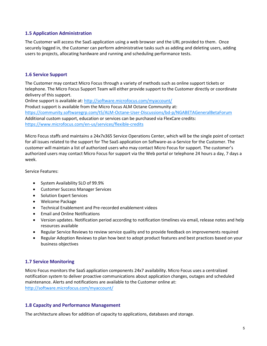## **1.5 Application Administration**

The Customer will access the SaaS application using a web browser and the URL provided to them. Once securely logged in, the Customer can perform administrative tasks such as adding and deleting users, adding users to projects, allocating hardware and running and scheduling performance tests.

## **1.6 Service Support**

The Customer may contact Micro Focus through a variety of methods such as online support tickets or telephone. The Micro Focus Support Team will either provide support to the Customer directly or coordinate delivery of this support.

Online support is available at[: http://software.microfocus.com/myaccount/](http://software.microfocus.com/myaccount/)

Product support is available from the Micro Focus ALM Octane Community at: https://community.softwaregrp.com/t5/ALM-Octane-User-Discussions/bd-p/NGABETAGeneralBetaForum Additional custom support, education or services can be purchased via FlexCare credits: <https://www.microfocus.com/en-us/services/flexible-credits>

Micro Focus staffs and maintains a 24x7x365 Service Operations Center, which will be the single point of contact for all issues related to the support for The SaaS application on Software-as-a-Service for the Customer. The customer will maintain a list of authorized users who may contact Micro Focus for support. The customer's authorized users may contact Micro Focus for support via the Web portal or telephone 24 hours a day, 7 days a week.

Service Features:

- System Availability SLO of 99.9%
- Customer Success Manager Services
- Solution Expert Services
- Welcome Package
- Technical Enablement and Pre-recorded enablement videos
- Email and Online Notifications
- Version updates. Notification period according to notification timelines via email, release notes and help resources available
- Regular Service Reviews to review service quality and to provide feedback on improvements required
- Regular Adoption Reviews to plan how best to adopt product features and best practices based on your business objectives

## **1.7 Service Monitoring**

Micro Focus monitors the SaaS application components 24x7 availability. Micro Focus uses a centralized notification system to deliver proactive communications about application changes, outages and scheduled maintenance. Alerts and notifications are available to the Customer online at: <http://software.microfocus.com/myaccount/>

## **1.8 Capacity and Performance Management**

The architecture allows for addition of capacity to applications, databases and storage.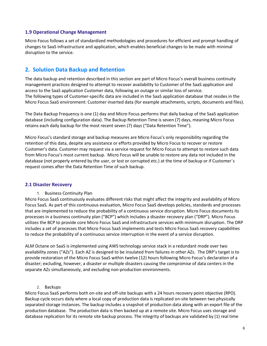#### **1.9 Operational Change Management**

Micro Focus follows a set of standardized methodologies and procedures for efficient and prompt handling of changes to SaaS infrastructure and application, which enables beneficial changes to be made with minimal disruption to the service.

## <span id="page-5-0"></span>**2. Solution Data Backup and Retention**

The data backup and retention described in this section are part of Micro Focus's overall business continuity management practices designed to attempt to recover availability to Customer of the SaaS application and access to the SaaS application Customer data, following an outage or similar loss of service. The following types of Customer-specific data are included in the SaaS application database that resides in the Micro Focus SaaS environment: Customer inserted data (for example attachments, scripts, documents and files).

The Data Backup Frequency is one (1) day and Micro Focus performs that daily backup of the SaaS application database (including configuration data). The Backup Retention Time is seven (7) days, meaning Micro Focus retains each daily backup for the most recent seven (7) days ("Data Retention Time").

Micro Focus's standard storage and backup measures are Micro Focus's only responsibility regarding the retention of this data, despite any assistance or efforts provided by Micro Focus to recover or restore Customer's data. Customer may request via a service request for Micro Focus to attempt to restore such data from Micro Focus's most current backup. Micro Focus will be unable to restore any data not included in the database (not properly entered by the user, or lost or corrupted etc.) at the time of backup or if Customer´s request comes after the Data Retention Time of such backup.

#### **2.1 Disaster Recovery**

1. Business Continuity Plan

Micro Focus SaaS continuously evaluates different risks that might affect the integrity and availability of Micro Focus SaaS. As part of this continuous evaluation, Micro Focus SaaS develops policies, standards and processes that are implemented to reduce the probability of a continuous service disruption. Micro Focus documents its processes in a business continuity plan ("BCP") which includes a disaster recovery plan ("DRP"). Micro Focus utilizes the BCP to provide core Micro Focus SaaS and infrastructure services with minimum disruption. The DRP includes a set of processes that Micro Focus SaaS implements and tests Micro Focus SaaS recovery capabilities to reduce the probability of a continuous service interruption in the event of a service disruption.

ALM Octane on SaaS is implemented using AWS technology service stack in a redundant mode over two availability zones ("AZs"). Each AZ is designed to be insulated from failures in other AZs. The DRP's target is to provide restoration of the Micro Focus SaaS within twelve (12) hours following Micro Focus's declaration of a disaster; excluding, however, a disaster or multiple disasters causing the compromise of data centers in the separate AZs simultaneously, and excluding non-production environments.

#### 2. Backups

Micro Focus SaaS performs both on-site and off-site backups with a 24 hours recovery point objective (RPO). Backup cycle occurs daily where a local copy of production data is replicated on-site between two physically separated storage instances. The backup includes a snapshot of production data along with an export file of the production database. The production data is then backed up at a remote site. Micro Focus uses storage and database replication for its remote site backup process. The integrity of backups are validated by (1) real time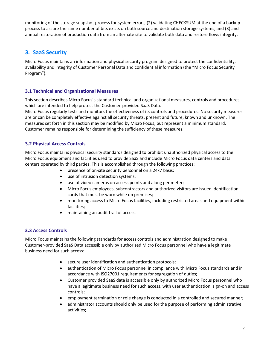monitoring of the storage snapshot process for system errors, (2) validating CHECKSUM at the end of a backup process to assure the same number of bits exists on both source and destination storage systems, and (3) and annual restoration of production data from an alternate site to validate both data and restore flows integrity.

# <span id="page-6-0"></span>**3. SaaS Security**

Micro Focus maintains an information and physical security program designed to protect the confidentiality, availability and integrity of Customer Personal Data and confidential information (the "Micro Focus Security Program").

## **3.1 Technical and Organizational Measures**

This section describes Micro Focus´s standard technical and organizational measures, controls and procedures, which are intended to help protect the Customer-provided SaaS Data.

Micro Focus regularly tests and monitors the effectiveness of its controls and procedures. No security measures are or can be completely effective against all security threats, present and future, known and unknown. The measures set forth in this section may be modified by Micro Focus, but represent a minimum standard. Customer remains responsible for determining the sufficiency of these measures.

## **3.2 Physical Access Controls**

Micro Focus maintains physical security standards designed to prohibit unauthorized physical access to the Micro Focus equipment and facilities used to provide SaaS and include Micro Focus data centers and data centers operated by third parties. This is accomplished through the following practices:

- presence of on-site security personnel on a 24x7 basis;
- use of intrusion detection systems;
- use of video cameras on access points and along perimeter;
- Micro Focus employees, subcontractors and authorized visitors are issued identification cards that must be worn while on premises;
- monitoring access to Micro Focus facilities, including restricted areas and equipment within facilities;
- maintaining an audit trail of access.

## **3.3 Access Controls**

Micro Focus maintains the following standards for access controls and administration designed to make Customer-provided SaaS Data accessible only by authorized Micro Focus personnel who have a legitimate business need for such access:

- secure user identification and authentication protocols;
- authentication of Micro Focus personnel in compliance with Micro Focus standards and in accordance with ISO27001 requirements for segregation of duties;
- Customer provided SaaS data is accessible only by authorized Micro Focus personnel who have a legitimate business need for such access, with user authentication, sign-on and access controls;
- employment termination or role change is conducted in a controlled and secured manner;
- administrator accounts should only be used for the purpose of performing administrative activities;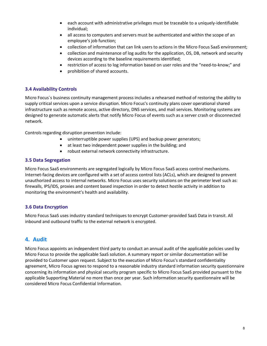- each account with administrative privileges must be traceable to a uniquely-identifiable individual;
- all access to computers and servers must be authenticated and within the scope of an employee's job function;
- collection of information that can link users to actions in the Micro Focus SaaS environment;
- collection and maintenance of log audits for the application, OS, DB, network and security devices according to the baseline requirements identified;
- restriction of access to log information based on user roles and the "need-to-know;" and
- prohibition of shared accounts.

## **3.4 Availability Controls**

Micro Focus´s business continuity management process includes a rehearsed method of restoring the ability to supply critical services upon a service disruption. Micro Focus's continuity plans cover operational shared infrastructure such as remote access, active directory, DNS services, and mail services. Monitoring systems are designed to generate automatic alerts that notify Micro Focus of events such as a server crash or disconnected network.

Controls regarding disruption prevention include:

- uninterruptible power supplies (UPS) and backup power generators;
- at least two independent power supplies in the building; and
- robust external network connectivity infrastructure.

## **3.5 Data Segregation**

Micro Focus SaaS environments are segregated logically by Micro Focus SaaS access control mechanisms. Internet-facing devices are configured with a set of access control lists (ACLs), which are designed to prevent unauthorized access to internal networks. Micro Focus uses security solutions on the perimeter level such as: firewalls, IPS/IDS, proxies and content based inspection in order to detect hostile activity in addition to monitoring the environment's health and availability.

## **3.6 Data Encryption**

Micro Focus SaaS uses industry standard techniques to encrypt Customer-provided SaaS Data in transit. All inbound and outbound traffic to the external network is encrypted.

## <span id="page-7-0"></span>**4. Audit**

Micro Focus appoints an independent third party to conduct an annual audit of the applicable policies used by Micro Focus to provide the applicable SaaS solution. A summary report or similar documentation will be provided to Customer upon request. Subject to the execution of Micro Focus's standard confidentiality agreement, Micro Focus agrees to respond to a reasonable industry standard information security questionnaire concerning its information and physical security program specific to Micro Focus SaaS provided pursuant to the applicable Supporting Material no more than once per year. Such information security questionnaire will be considered Micro Focus Confidential Information.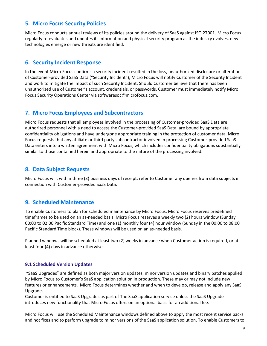## <span id="page-8-0"></span>**5. Micro Focus Security Policies**

Micro Focus conducts annual reviews of its policies around the delivery of SaaS against ISO 27001. Micro Focus regularly re-evaluates and updates its information and physical security program as the industry evolves, new technologies emerge or new threats are identified.

## <span id="page-8-1"></span>**6. Security Incident Response**

In the event Micro Focus confirms a security incident resulted in the loss, unauthorized disclosure or alteration of Customer-provided SaaS Data ("Security Incident"), Micro Focus will notify Customer of the Security Incident and work to mitigate the impact of such Security Incident. Should Customer believe that there has been unauthorized use of Customer's account, credentials, or passwords, Customer must immediately notify Micro Focus Security Operations Center via softwaresoc@microfocus.com.

## <span id="page-8-2"></span>**7. Micro Focus Employees and Subcontractors**

Micro Focus requests that all employees involved in the processing of Customer-provided SaaS Data are authorized personnel with a need to access the Customer-provided SaaS Data, are bound by appropriate confidentiality obligations and have undergone appropriate training in the protection of customer data. Micro Focus requests that any affiliate or third party subcontractor involved in processing Customer-provided SaaS Data enters into a written agreement with Micro Focus, which includes confidentiality obligations substantially similar to those contained herein and appropriate to the nature of the processing involved.

## <span id="page-8-3"></span>**8. Data Subject Requests**

Micro Focus will, within three (3) business days of receipt, refer to Customer any queries from data subjects in connection with Customer-provided SaaS Data.

## <span id="page-8-4"></span>**9. Scheduled Maintenance**

To enable Customers to plan for scheduled maintenance by Micro Focus, Micro Focus reserves predefined timeframes to be used on an as-needed basis. Micro Focus reserves a weekly two (2) hours window (Sunday 00:00 to 02:00 Pacific Standard Time) and one (1) monthly four (4) hour window (Sunday in the 00:00 to 08:00 Pacific Standard Time block). These windows will be used on an as-needed basis.

Planned windows will be scheduled at least two (2) weeks in advance when Customer action is required, or at least four (4) days in advance otherwise.

## **9.1 Scheduled Version Updates**

"SaaS Upgrades" are defined as both major version updates, minor version updates and binary patches applied by Micro Focus to Customer's SaaS application solution in production. These may or may not include new features or enhancements. Micro Focus determines whether and when to develop, release and apply any SaaS Upgrade.

Customer is entitled to SaaS Upgrades as part of The SaaS application service unless the SaaS Upgrade introduces new functionality that Micro Focus offers on an optional basis for an additional fee.

Micro Focus will use the Scheduled Maintenance windows defined above to apply the most recent service packs and hot fixes and to perform upgrade to minor versions of the SaaS application solution. To enable Customers to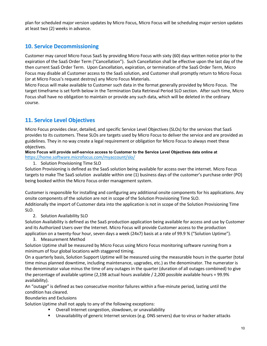plan for scheduled major version updates by Micro Focus, Micro Focus will be scheduling major version updates at least two (2) weeks in advance.

# <span id="page-9-0"></span>**10. Service Decommissioning**

Customer may cancel Micro Focus SaaS by providing Micro Focus with sixty (60) days written notice prior to the expiration of the SaaS Order Term ("Cancellation"). Such Cancellation shall be effective upon the last day of the then current SaaS Order Term. Upon Cancellation, expiration, or termination of the SaaS Order Term, Micro Focus may disable all Customer access to the SaaS solution, and Customer shall promptly return to Micro Focus (or at Micro Focus's request destroy) any Micro Focus Materials.

Micro Focus will make available to Customer such data in the format generally provided by Micro Focus. The target timeframe is set forth below in the Termination Data Retrieval Period SLO section. After such time, Micro Focus shall have no obligation to maintain or provide any such data, which will be deleted in the ordinary course.

# <span id="page-9-1"></span>**11. Service Level Objectives**

Micro Focus provides clear, detailed, and specific Service Level Objectives (SLOs) for the services that SaaS provides to its customers. These SLOs are targets used by Micro Focus to deliver the service and are provided as guidelines. They in no way create a legal requirement or obligation for Micro Focus to always meet these objectives.

**Micro Focus will provide self-service access to Customer to the Service Level Objectives data online at**  <https://home.software.microfocus.com/myaccount/slo/>

1. Solution Provisioning Time SLO

Solution Provisioning is defined as the SaaS solution being available for access over the internet. Micro Focus targets to make The SaaS solution available within one (1) business days of the customer's purchase order (PO) being booked within the Micro Focus order management system.

Customer is responsible for installing and configuring any additional onsite components for his applications. Any onsite components of the solution are not in scope of the Solution Provisioning Time SLO. Additionally the import of Customer data into the application is not in scope of the Solution Provisioning Time SLO.

2. Solution Availability SLO

Solution Availability is defined as the SaaS production application being available for access and use by Customer and its Authorized Users over the Internet. Micro Focus will provide Customer access to the production application on a twenty-four hour, seven days a week (24x7) basis at a rate of 99.9 % ("Solution Uptime").

3. Measurement Method

Solution Uptime shall be measured by Micro Focus using Micro Focus monitoring software running from a minimum of four global locations with staggered timing.

On a quarterly basis, Solution Support Uptime will be measured using the measurable hours in the quarter (total time minus planned downtime, including maintenance, upgrades, etc.) as the denominator. The numerator is the denominator value minus the time of any outages in the quarter (duration of all outages combined) to give the percentage of available uptime (2,198 actual hours available / 2,200 possible available hours = 99.9% availability).

An "outage" is defined as two consecutive monitor failures within a five-minute period, lasting until the condition has cleared.

Boundaries and Exclusions

Solution Uptime shall not apply to any of the following exceptions:

- Overall Internet congestion, slowdown, or unavailability
- Unavailability of generic Internet services (e.g. DNS servers) due to virus or hacker attacks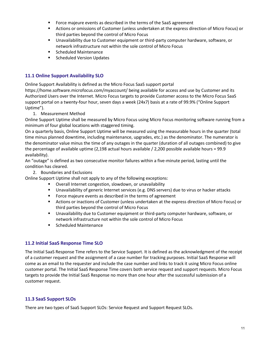- **FICT** Force majeure events as described in the terms of the SaaS agreement
- Actions or omissions of Customer (unless undertaken at the express direction of Micro Focus) or third parties beyond the control of Micro Focus
- Unavailability due to Customer equipment or third-party computer hardware, software, or network infrastructure not within the sole control of Micro Focus
- Scheduled Maintenance
- **Scheduled Version Updates**

## **11.1 Online Support Availability SLO**

Online Support Availability is defined as the Micro Focus SaaS support portal

https://home.software.microfocus.com/myaccount/ being available for access and use by Customer and its Authorized Users over the Internet. Micro Focus targets to provide Customer access to the Micro Focus SaaS support portal on a twenty-four hour, seven days a week (24x7) basis at a rate of 99.9% ("Online Support Uptime").

1. Measurement Method

Online Support Uptime shall be measured by Micro Focus using Micro Focus monitoring software running from a minimum of four global locations with staggered timing.

On a quarterly basis, Online Support Uptime will be measured using the measurable hours in the quarter (total time minus planned downtime, including maintenance, upgrades, etc.) as the denominator. The numerator is the denominator value minus the time of any outages in the quarter (duration of all outages combined) to give the percentage of available uptime (2,198 actual hours available / 2,200 possible available hours = 99.9 availability).

An "outage" is defined as two consecutive monitor failures within a five-minute period, lasting until the condition has cleared.

2. Boundaries and Exclusions

Online Support Uptime shall not apply to any of the following exceptions:

- Overall Internet congestion, slowdown, or unavailability
- Unavailability of generic Internet services (e.g. DNS servers) due to virus or hacker attacks
- **Force majeure events as described in the terms of agreement**
- Actions or inactions of Customer (unless undertaken at the express direction of Micro Focus) or third parties beyond the control of Micro Focus
- Unavailability due to Customer equipment or third-party computer hardware, software, or network infrastructure not within the sole control of Micro Focus
- Scheduled Maintenance

#### **11.2 Initial SaaS Response Time SLO**

The Initial SaaS Response Time refers to the Service Support. It is defined as the acknowledgment of the receipt of a customer request and the assignment of a case number for tracking purposes. Initial SaaS Response will come as an email to the requester and include the case number and links to track it using Micro Focus online customer portal. The Initial SaaS Response Time covers both service request and support requests. Micro Focus targets to provide the Initial SaaS Response no more than one hour after the successful submission of a customer request.

#### **11.3 SaaS Support SLOs**

There are two types of SaaS Support SLOs: Service Request and Support Request SLOs.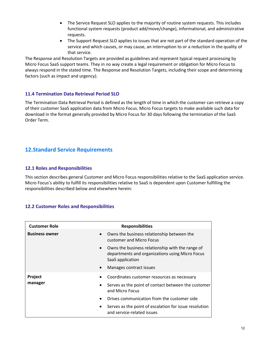- The Service Request SLO applies to the majority of routine system requests. This includes functional system requests (product add/move/change), informational, and administrative requests.
- The Support Request SLO applies to issues that are not part of the standard operation of the service and which causes, or may cause, an interruption to or a reduction in the quality of that service.

The Response and Resolution Targets are provided as guidelines and represent typical request processing by Micro Focus SaaS support teams. They in no way create a legal requirement or obligation for Micro Focus to always respond in the stated time. The Response and Resolution Targets, including their scope and determining factors (such as impact and urgency).

## **11.4 Termination Data Retrieval Period SLO**

The Termination Data Retrieval Period is defined as the length of time in which the customer can retrieve a copy of their customer SaaS application data from Micro Focus. Micro Focus targets to make available such data for download in the format generally provided by Micro Focus for 30 days following the termination of the SaaS Order Term.

# <span id="page-11-0"></span>**12.Standard Service Requirements**

## **12.1 Roles and Responsibilities**

This section describes general Customer and Micro Focus responsibilities relative to the SaaS application service. Micro Focus's ability to fulfill its responsibilities relative to SaaS is dependent upon Customer fulfilling the responsibilities described below and elsewhere herein:

## **12.2 Customer Roles and Responsibilities**

| <b>Customer Role</b>               | <b>Responsibilities</b>                                                                                                 |
|------------------------------------|-------------------------------------------------------------------------------------------------------------------------|
| <b>Business owner</b><br>$\bullet$ | Owns the business relationship between the<br>customer and Micro Focus                                                  |
| $\bullet$                          | Owns the business relationship with the range of<br>departments and organizations using Micro Focus<br>SaaS application |
| $\bullet$                          | Manages contract issues                                                                                                 |
| Project<br>manager                 | Coordinates customer resources as necessary<br>Serves as the point of contact between the customer<br>and Micro Focus   |
| $\bullet$                          | Drives communication from the customer side                                                                             |
| $\bullet$                          | Serves as the point of escalation for issue resolution<br>and service-related issues                                    |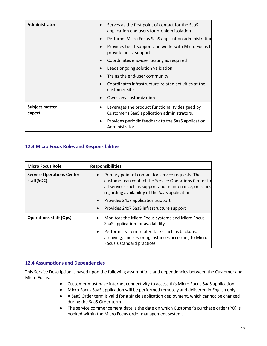| <b>Administrator</b>                  | Serves as the first point of contact for the SaaS<br>application end users for problem isolation |
|---------------------------------------|--------------------------------------------------------------------------------------------------|
| $\bullet$                             | Performs Micro Focus SaaS application administration                                             |
| $\bullet$                             | Provides tier-1 support and works with Micro Focus to<br>provide tier-2 support                  |
| $\bullet$                             | Coordinates end-user testing as required                                                         |
| $\bullet$                             | Leads ongoing solution validation                                                                |
|                                       | Trains the end-user community                                                                    |
|                                       | Coordinates infrastructure-related activities at the<br>customer site                            |
|                                       | Owns any customization                                                                           |
| Subject matter<br>$\bullet$<br>expert | Leverages the product functionality designed by<br>Customer's SaaS application administrators.   |
| $\bullet$                             | Provides periodic feedback to the SaaS application<br>Administrator                              |

## **12.3 Micro Focus Roles and Responsibilities**

| <b>Micro Focus Role</b>                        | <b>Responsibilities</b>                                                                                                                                                                                                                                                                                                 |
|------------------------------------------------|-------------------------------------------------------------------------------------------------------------------------------------------------------------------------------------------------------------------------------------------------------------------------------------------------------------------------|
| <b>Service Operations Center</b><br>staff(SOC) | Primary point of contact for service requests. The<br>customer can contact the Service Operations Center fo<br>all services such as support and maintenance, or issues<br>regarding availability of the SaaS application<br>Provides 24x7 application support<br>$\bullet$<br>Provides 24x7 SaaS infrastructure support |
| <b>Operations staff (Ops)</b>                  | Monitors the Micro Focus systems and Micro Focus<br>$\bullet$<br>SaaS application for availability<br>Performs system-related tasks such as backups,<br>archiving, and restoring instances according to Micro<br>Focus's standard practices                                                                             |

## **12.4 Assumptions and Dependencies**

This Service Description is based upon the following assumptions and dependencies between the Customer and Micro Focus:

- Customer must have internet connectivity to access this Micro Focus SaaS application.
- Micro Focus SaaS application will be performed remotely and delivered in English only.
- A SaaS Order term is valid for a single application deployment, which cannot be changed during the SaaS Order term.
- The service commencement date is the date on which Customer´s purchase order (PO) is booked within the Micro Focus order management system.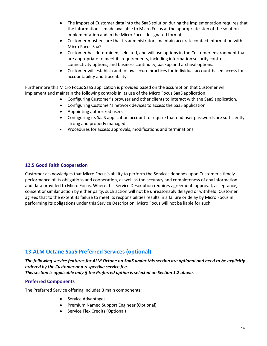- The import of Customer data into the SaaS solution during the implementation requires that the information is made available to Micro Focus at the appropriate step of the solution implementation and in the Micro Focus designated format.
- Customer must ensure that its administrators maintain accurate contact information with Micro Focus SaaS.
- Customer has determined, selected, and will use options in the Customer environment that are appropriate to meet its requirements, including information security controls, connectivity options, and business continuity, backup and archival options.
- Customer will establish and follow secure practices for individual account-based access for accountability and traceability.

Furthermore this Micro Focus SaaS application is provided based on the assumption that Customer will implement and maintain the following controls in its use of the Micro Focus SaaS application:

- Configuring Customer's browser and other clients to interact with the SaaS application.
- Configuring Customer's network devices to access the SaaS application
- Appointing authorized users
- Configuring its SaaS application account to require that end user passwords are sufficiently strong and properly managed
- Procedures for access approvals, modifications and terminations.

## **12.5 Good Faith Cooperation**

Customer acknowledges that Micro Focus's ability to perform the Services depends upon Customer's timely performance of its obligations and cooperation, as well as the accuracy and completeness of any information and data provided to Micro Focus. Where this Service Description requires agreement, approval, acceptance, consent or similar action by either party, such action will not be unreasonably delayed or withheld. Customer agrees that to the extent its failure to meet its responsibilities results in a failure or delay by Micro Focus in performing its obligations under this Service Description, Micro Focus will not be liable for such.

## <span id="page-13-0"></span>**13.ALM Octane SaaS Preferred Services (optional)**

*The following service features for ALM Octane on SaaS under this section are optional and need to be explicitly ordered by the Customer at a respective service fee. This section is applicable only if the Preferred option is selected on Section 1.2 above.*

## **Preferred Components**

The Preferred Service offering includes 3 main components:

- Service Advantages
- Premium Named Support Engineer (Optional)
- Service Flex Credits (Optional)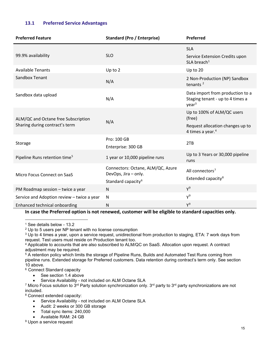## **13.1 Preferred Service Advantages**

| <b>Preferred Feature</b>                   | <b>Standard (Pro / Enterprise)</b>                     | Preferred                                                                                 |
|--------------------------------------------|--------------------------------------------------------|-------------------------------------------------------------------------------------------|
|                                            |                                                        | <b>SLA</b>                                                                                |
| 99.9% availability                         | <b>SLO</b>                                             | Service Extension Credits upon<br>$SLA$ breach <sup>1</sup>                               |
| <b>Available Tenants</b>                   | Up to 2                                                | Up to 20                                                                                  |
| Sandbox Tenant                             | N/A                                                    | 2 Non-Production (NP) Sandbox<br>tenants $2$                                              |
| Sandbox data upload                        | N/A                                                    | Data import from production to a<br>Staging tenant - up to 4 times a<br>year <sup>3</sup> |
| ALM/QC and Octane free Subscription        | N/A                                                    | Up to 100% of ALM/QC users<br>(free)                                                      |
| Sharing during contract's term             |                                                        | Request allocation changes up to<br>4 times a year. <sup>4</sup>                          |
| Storage                                    | Pro: 100 GB                                            | 2TB                                                                                       |
|                                            | Enterprise: 300 GB                                     |                                                                                           |
| Pipeline Runs retention time <sup>5</sup>  | 1 year or 10,000 pipeline runs                         | Up to 3 Years or 30,000 pipeline<br>runs                                                  |
|                                            | Connectors: Octane, ALM/QC, Azure                      | All connectors <sup>7</sup>                                                               |
| Micro Focus Connect on SaaS                | DevOps, Jira - only.<br>Standard capacity <sup>6</sup> | Extended capacity <sup>8</sup>                                                            |
| PM Roadmap session - twice a year          | $\mathsf{N}$                                           | $Y^9$                                                                                     |
| Service and Adoption review - twice a year | N                                                      | $Y^9$                                                                                     |
| Enhanced technical onboarding              | ${\sf N}$                                              | $Y^9$                                                                                     |

<span id="page-14-0"></span>**In case the Preferred option is not renewed, customer will be eligible to standard capacities only.**

<span id="page-14-1"></span><sup>1</sup> See details below - [13.2](#page-15-0)

<span id="page-14-4"></span><sup>4</sup> Applicable to accounts that are also subscribed to ALM/QC on SaaS. Allocation upon request. A contract adjustment may be required.

<span id="page-14-5"></span><sup>5</sup> A retention policy which limits the storage of Pipeline Runs, Builds and Automated Test Runs coming from pipeline runs. Extended storage for Preferred customers. Data retention during contract's term only. See section [10](#page-9-0) above.

<span id="page-14-6"></span><sup>6</sup> Connect Standard capacity

- See section 1.4 above
- Service Availability not included on ALM Octane SLA

<span id="page-14-7"></span><sup>7</sup> Micro Focus solution to  $3^{rd}$  Party solution synchronization only.  $3^{rd}$  party to  $3^{rd}$  party synchronizations are not included.

<span id="page-14-8"></span><sup>8</sup> Connect extended capacity:

- Service Availability not included on ALM Octane SLA
- Audit: 2 weeks or 300 GB storage
- Total sync items: 240,000
- Available RAM: 24 GB

<span id="page-14-2"></span><sup>2</sup> Up to 5 users per NP tenant with no license consumption

<span id="page-14-3"></span><sup>&</sup>lt;sup>3</sup> Up to 4 times a year, upon a service request, unidirectional from production to staging, ETA: 7 work days from request. Test users must reside on Production tenant too.

<span id="page-14-9"></span><sup>&</sup>lt;sup>9</sup> Upon a service request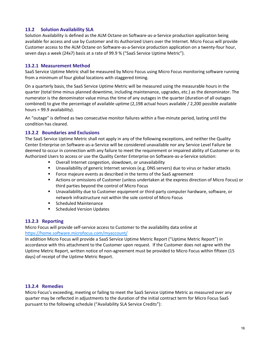## <span id="page-15-0"></span>**13.2 Solution Availability SLA**

Solution Availability is defined as the ALM Octane on Software-as-a-Service production application being available for access and use by Customer and its Authorized Users over the Internet. Micro Focus will provide Customer access to the ALM Octane on Software-as-a-Service production application on a twenty-four hour, seven days a week (24x7) basis at a rate of 99.9 % ("SaaS Service Uptime Metric").

## **13.2.1 Measurement Method**

SaaS Service Uptime Metric shall be measured by Micro Focus using Micro Focus monitoring software running from a minimum of four global locations with staggered timing.

On a quarterly basis, the SaaS Service Uptime Metric will be measured using the measurable hours in the quarter (total time minus planned downtime, including maintenance, upgrades, etc.) as the denominator. The numerator is the denominator value minus the time of any outages in the quarter (duration of all outages combined) to give the percentage of available uptime (2,198 actual hours available / 2,200 possible available hours = 99.9 availability).

An "outage" is defined as two consecutive monitor failures within a five-minute period, lasting until the condition has cleared.

#### **13.2.2 Boundaries and Exclusions**

The SaaS Service Uptime Metric shall not apply in any of the following exceptions, and neither the Quality Center Enterprise on Software-as-a-Service will be considered unavailable nor any Service Level Failure be deemed to occur in connection with any failure to meet the requirement or impaired ability of Customer or its Authorized Users to access or use the Quality Center Enterprise on Software-as-a-Service solution:

- Overall Internet congestion, slowdown, or unavailability
- **Unavailability of generic Internet services (e.g. DNS servers) due to virus or hacker attacks**
- Force majeure events as described in the terms of the SaaS agreement
- Actions or omissions of Customer (unless undertaken at the express direction of Micro Focus) or third parties beyond the control of Micro Focus
- Unavailability due to Customer equipment or third-party computer hardware, software, or network infrastructure not within the sole control of Micro Focus
- **Scheduled Maintenance**
- **Scheduled Version Updates**

## **13.2.3 Reporting**

Micro Focus will provide self-service access to Customer to the availability data online at <https://home.software.microfocus.com/myaccount/>

In addition Micro Focus will provide a SaaS Service Uptime Metric Report ("Uptime Metric Report") in accordance with this attachment to the Customer upon request. If the Customer does not agree with the Uptime Metric Report, written notice of non-agreement must be provided to Micro Focus within fifteen (15 days) of receipt of the Uptime Metric Report.

#### **13.2.4 Remedies**

Micro Focus's exceeding, meeting or failing to meet the SaaS Service Uptime Metric as measured over any quarter may be reflected in adjustments to the duration of the initial contract term for Micro Focus SaaS pursuant to the following schedule ("Availability SLA Service Credits"):